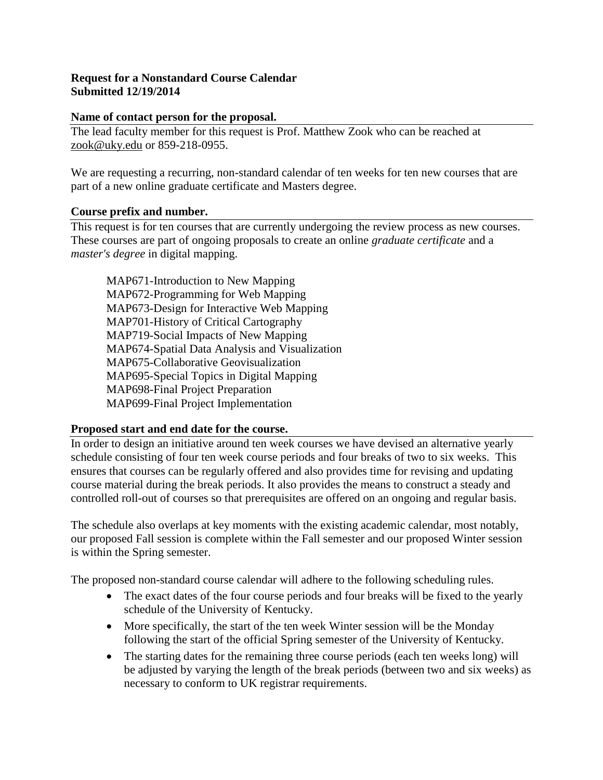## **Request for a Nonstandard Course Calendar Submitted 12/19/2014**

#### **Name of contact person for the proposal.**

The lead faculty member for this request is Prof. Matthew Zook who can be reached at [zook@uky.edu](mailto:zook@uky.edu) or 859-218-0955.

We are requesting a recurring, non-standard calendar of ten weeks for ten new courses that are part of a new online graduate certificate and Masters degree.

### **Course prefix and number.**

This request is for ten courses that are currently undergoing the review process as new courses. These courses are part of ongoing proposals to create an online *graduate certificate* and a *master's degree* in digital mapping.

MAP671-Introduction to New Mapping MAP672-Programming for Web Mapping MAP673-Design for Interactive Web Mapping MAP701-History of Critical Cartography MAP719-Social Impacts of New Mapping MAP674-Spatial Data Analysis and Visualization MAP675-Collaborative Geovisualization MAP695-Special Topics in Digital Mapping MAP698-Final Project Preparation MAP699-Final Project Implementation

### **Proposed start and end date for the course.**

In order to design an initiative around ten week courses we have devised an alternative yearly schedule consisting of four ten week course periods and four breaks of two to six weeks. This ensures that courses can be regularly offered and also provides time for revising and updating course material during the break periods. It also provides the means to construct a steady and controlled roll-out of courses so that prerequisites are offered on an ongoing and regular basis.

The schedule also overlaps at key moments with the existing academic calendar, most notably, our proposed Fall session is complete within the Fall semester and our proposed Winter session is within the Spring semester.

The proposed non-standard course calendar will adhere to the following scheduling rules.

- The exact dates of the four course periods and four breaks will be fixed to the yearly schedule of the University of Kentucky.
- More specifically, the start of the ten week Winter session will be the Monday following the start of the official Spring semester of the University of Kentucky.
- The starting dates for the remaining three course periods (each ten weeks long) will be adjusted by varying the length of the break periods (between two and six weeks) as necessary to conform to UK registrar requirements.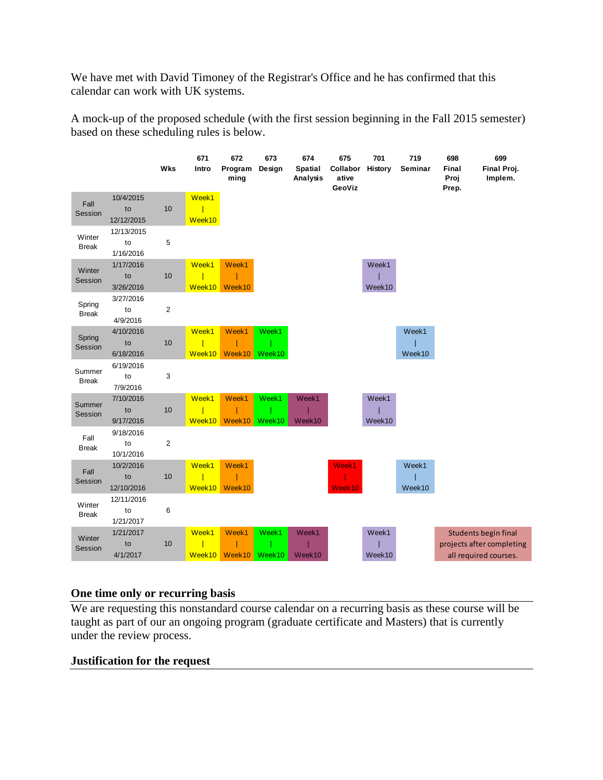We have met with David Timoney of the Registrar's Office and he has confirmed that this calendar can work with UK systems.

A mock-up of the proposed schedule (with the first session beginning in the Fall 2015 semester) based on these scheduling rules is below.

|                        |                               | <b>Wks</b>     | 671<br>Intro    | 672<br>Program<br>ming | 673<br>Design   | 674<br><b>Spatial</b><br>Analysis | 675<br>Collabor<br>ative<br>GeoViz | 701<br>History  | 719<br>Seminar  | 698<br>Final<br>Proj<br>Prep. | 699<br>Final Proj.<br>Implem.                                                     |
|------------------------|-------------------------------|----------------|-----------------|------------------------|-----------------|-----------------------------------|------------------------------------|-----------------|-----------------|-------------------------------|-----------------------------------------------------------------------------------|
| Fall<br>Session        | 10/4/2015<br>to<br>12/12/2015 | 10             | Week1<br>Week10 |                        |                 |                                   |                                    |                 |                 |                               |                                                                                   |
| Winter<br><b>Break</b> | 12/13/2015<br>to<br>1/16/2016 | 5              |                 |                        |                 |                                   |                                    |                 |                 |                               |                                                                                   |
| Winter<br>Session      | 1/17/2016<br>to<br>3/26/2016  | 10             | Week1<br>Week10 | Week1<br>Week10        |                 |                                   |                                    | Week1<br>Week10 |                 |                               |                                                                                   |
| Spring<br><b>Break</b> | 3/27/2016<br>to<br>4/9/2016   | $\overline{c}$ |                 |                        |                 |                                   |                                    |                 |                 |                               |                                                                                   |
| Spring<br>Session      | 4/10/2016<br>to<br>6/18/2016  | 10             | Week1<br>Week10 | Week1<br>Week10        | Week1<br>Week10 |                                   |                                    |                 | Week1<br>Week10 |                               |                                                                                   |
| Summer<br><b>Break</b> | 6/19/2016<br>to<br>7/9/2016   | 3              |                 |                        |                 |                                   |                                    |                 |                 |                               |                                                                                   |
| Summer<br>Session      | 7/10/2016<br>to<br>9/17/2016  | 10             | Week1<br>Week10 | Week1<br>Week10        | Week1<br>Week10 | Week1<br>Week10                   |                                    | Week1<br>Week10 |                 |                               |                                                                                   |
| Fall<br><b>Break</b>   | 9/18/2016<br>to<br>10/1/2016  | $\mathbf 2$    |                 |                        |                 |                                   |                                    |                 |                 |                               |                                                                                   |
| Fall<br>Session        | 10/2/2016<br>to<br>12/10/2016 | 10             | Week1<br>Week10 | Week1<br>Week10        |                 |                                   | Week1<br>Week10                    |                 | Week1<br>Week10 |                               |                                                                                   |
| Winter<br><b>Break</b> | 12/11/2016<br>to<br>1/21/2017 | 6              |                 |                        |                 |                                   |                                    |                 |                 |                               |                                                                                   |
| Winter<br>Session      | 1/21/2017<br>to<br>4/1/2017   | 10             | Week1<br>Week10 | Week1<br>Week10        | Week1<br>Week10 | Week1<br>Week10                   |                                    | Week1<br>Week10 |                 |                               | <b>Students begin final</b><br>projects after completing<br>all required courses. |

### **One time only or recurring basis**

We are requesting this nonstandard course calendar on a recurring basis as these course will be taught as part of our an ongoing program (graduate certificate and Masters) that is currently under the review process.

### **Justification for the request**